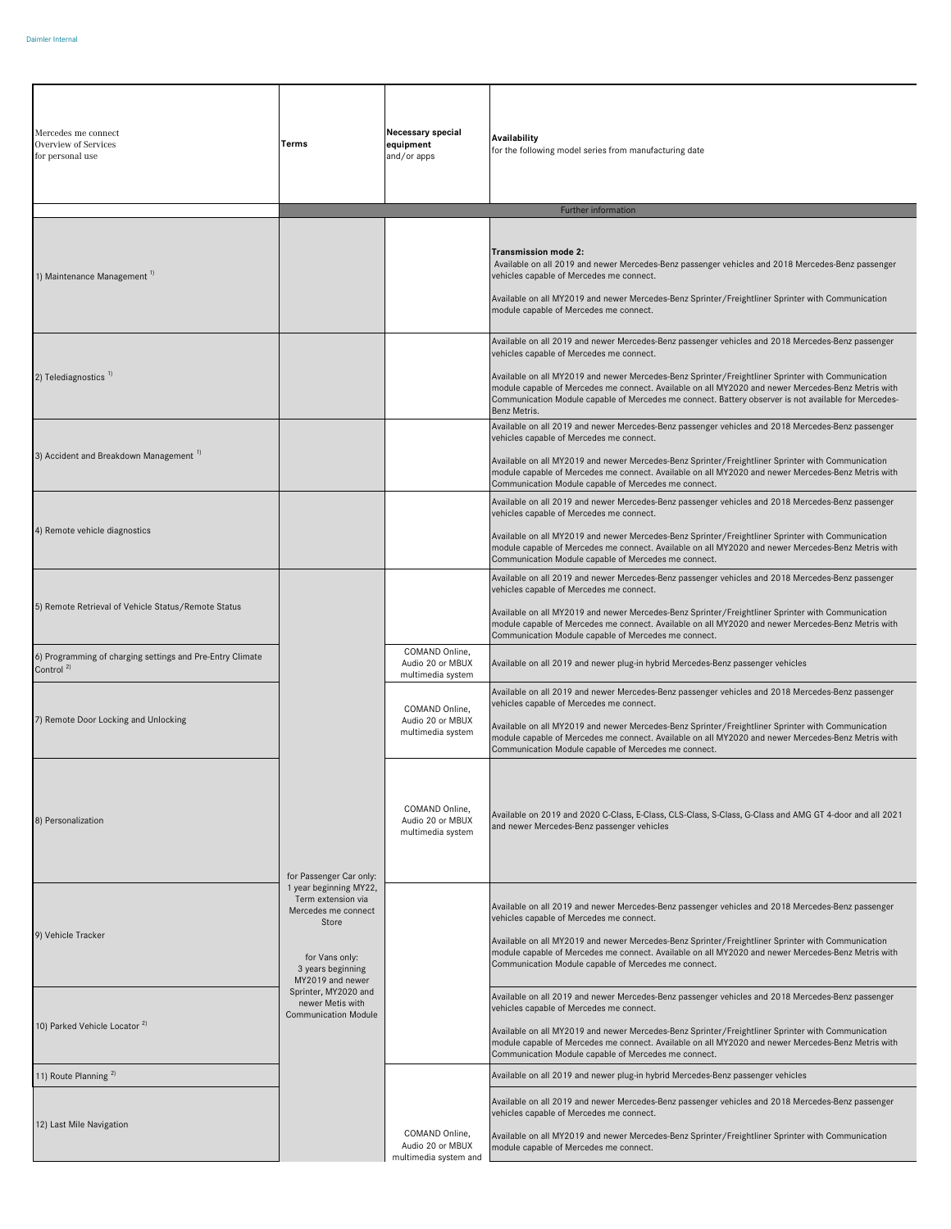| Mercedes me connect<br><b>Overview of Services</b><br>for personal use             | Terms                                                                                                                                   | Necessary special<br>equipment<br>and/or apps               | Availability<br>for the following model series from manufacturing date                                                                                                                                                                                                                                                                                                                                                                                                           |
|------------------------------------------------------------------------------------|-----------------------------------------------------------------------------------------------------------------------------------------|-------------------------------------------------------------|----------------------------------------------------------------------------------------------------------------------------------------------------------------------------------------------------------------------------------------------------------------------------------------------------------------------------------------------------------------------------------------------------------------------------------------------------------------------------------|
|                                                                                    |                                                                                                                                         |                                                             | Further information                                                                                                                                                                                                                                                                                                                                                                                                                                                              |
| 1) Maintenance Management <sup>1)</sup>                                            |                                                                                                                                         |                                                             | Transmission mode 2:<br>Available on all 2019 and newer Mercedes-Benz passenger vehicles and 2018 Mercedes-Benz passenger<br>vehicles capable of Mercedes me connect.<br>Available on all MY2019 and newer Mercedes-Benz Sprinter/Freightliner Sprinter with Communication<br>module capable of Mercedes me connect.                                                                                                                                                             |
| 2) Telediagnostics <sup>1)</sup>                                                   |                                                                                                                                         |                                                             | Available on all 2019 and newer Mercedes-Benz passenger vehicles and 2018 Mercedes-Benz passenger<br>vehicles capable of Mercedes me connect.<br>Available on all MY2019 and newer Mercedes-Benz Sprinter/Freightliner Sprinter with Communication<br>module capable of Mercedes me connect. Available on all MY2020 and newer Mercedes-Benz Metris with<br>Communication Module capable of Mercedes me connect. Battery observer is not available for Mercedes-<br>Benz Metris. |
| 3) Accident and Breakdown Management <sup>1)</sup>                                 |                                                                                                                                         |                                                             | Available on all 2019 and newer Mercedes-Benz passenger vehicles and 2018 Mercedes-Benz passenger<br>vehicles capable of Mercedes me connect.<br>Available on all MY2019 and newer Mercedes-Benz Sprinter/Freightliner Sprinter with Communication<br>module capable of Mercedes me connect. Available on all MY2020 and newer Mercedes-Benz Metris with<br>Communication Module capable of Mercedes me connect.                                                                 |
| 4) Remote vehicle diagnostics                                                      |                                                                                                                                         |                                                             | Available on all 2019 and newer Mercedes-Benz passenger vehicles and 2018 Mercedes-Benz passenger<br>vehicles capable of Mercedes me connect.<br>Available on all MY2019 and newer Mercedes-Benz Sprinter/Freightliner Sprinter with Communication<br>module capable of Mercedes me connect. Available on all MY2020 and newer Mercedes-Benz Metris with<br>Communication Module capable of Mercedes me connect.                                                                 |
| 5) Remote Retrieval of Vehicle Status/Remote Status                                |                                                                                                                                         |                                                             | Available on all 2019 and newer Mercedes-Benz passenger vehicles and 2018 Mercedes-Benz passenger<br>vehicles capable of Mercedes me connect.<br>Available on all MY2019 and newer Mercedes-Benz Sprinter/Freightliner Sprinter with Communication<br>module capable of Mercedes me connect. Available on all MY2020 and newer Mercedes-Benz Metris with<br>Communication Module capable of Mercedes me connect.                                                                 |
| 6) Programming of charging settings and Pre-Entry Climate<br>Control <sup>2)</sup> |                                                                                                                                         | COMAND Online,<br>Audio 20 or MBUX<br>multimedia system     | Available on all 2019 and newer plug-in hybrid Mercedes-Benz passenger vehicles                                                                                                                                                                                                                                                                                                                                                                                                  |
| 7) Remote Door Locking and Unlocking                                               |                                                                                                                                         | COMAND Online.<br>Audio 20 or MBUX<br>multimedia system     | Available on all 2019 and newer Mercedes-Benz passenger vehicles and 2018 Mercedes-Benz passenger<br>vehicles capable of Mercedes me connect.<br>Available on all MY2019 and newer Mercedes-Benz Sprinter/Freightliner Sprinter with Communication<br>module capable of Mercedes me connect. Available on all MY2020 and newer Mercedes-Benz Metris with<br>Communication Module capable of Mercedes me connect.                                                                 |
| 8) Personalization                                                                 | for Passenger Car only:                                                                                                                 | COMAND Online,<br>Audio 20 or MBUX<br>multimedia system     | Available on 2019 and 2020 C-Class, E-Class, CLS-Class, S-Class, G-Class and AMG GT 4-door and all 2021<br>and newer Mercedes-Benz passenger vehicles                                                                                                                                                                                                                                                                                                                            |
| 9) Vehicle Tracker                                                                 | 1 year beginning MY22,<br>Term extension via<br>Mercedes me connect<br>Store<br>for Vans only:<br>3 years beginning<br>MY2019 and newer |                                                             | Available on all 2019 and newer Mercedes-Benz passenger vehicles and 2018 Mercedes-Benz passenger<br>vehicles capable of Mercedes me connect.<br>Available on all MY2019 and newer Mercedes-Benz Sprinter/Freightliner Sprinter with Communication<br>module capable of Mercedes me connect. Available on all MY2020 and newer Mercedes-Benz Metris with<br>Communication Module capable of Mercedes me connect.                                                                 |
| 10) Parked Vehicle Locator <sup>2)</sup>                                           | Sprinter, MY2020 and<br>newer Metis with<br><b>Communication Module</b>                                                                 |                                                             | Available on all 2019 and newer Mercedes-Benz passenger vehicles and 2018 Mercedes-Benz passenger<br>vehicles capable of Mercedes me connect.<br>Available on all MY2019 and newer Mercedes-Benz Sprinter/Freightliner Sprinter with Communication<br>module capable of Mercedes me connect. Available on all MY2020 and newer Mercedes-Benz Metris with<br>Communication Module capable of Mercedes me connect.                                                                 |
| 11) Route Planning <sup>2)</sup>                                                   |                                                                                                                                         |                                                             | Available on all 2019 and newer plug-in hybrid Mercedes-Benz passenger vehicles                                                                                                                                                                                                                                                                                                                                                                                                  |
| 12) Last Mile Navigation                                                           |                                                                                                                                         | COMAND Online,<br>Audio 20 or MBUX<br>multimedia system and | Available on all 2019 and newer Mercedes-Benz passenger vehicles and 2018 Mercedes-Benz passenger<br>vehicles capable of Mercedes me connect.<br>Available on all MY2019 and newer Mercedes-Benz Sprinter/Freightliner Sprinter with Communication<br>module capable of Mercedes me connect.                                                                                                                                                                                     |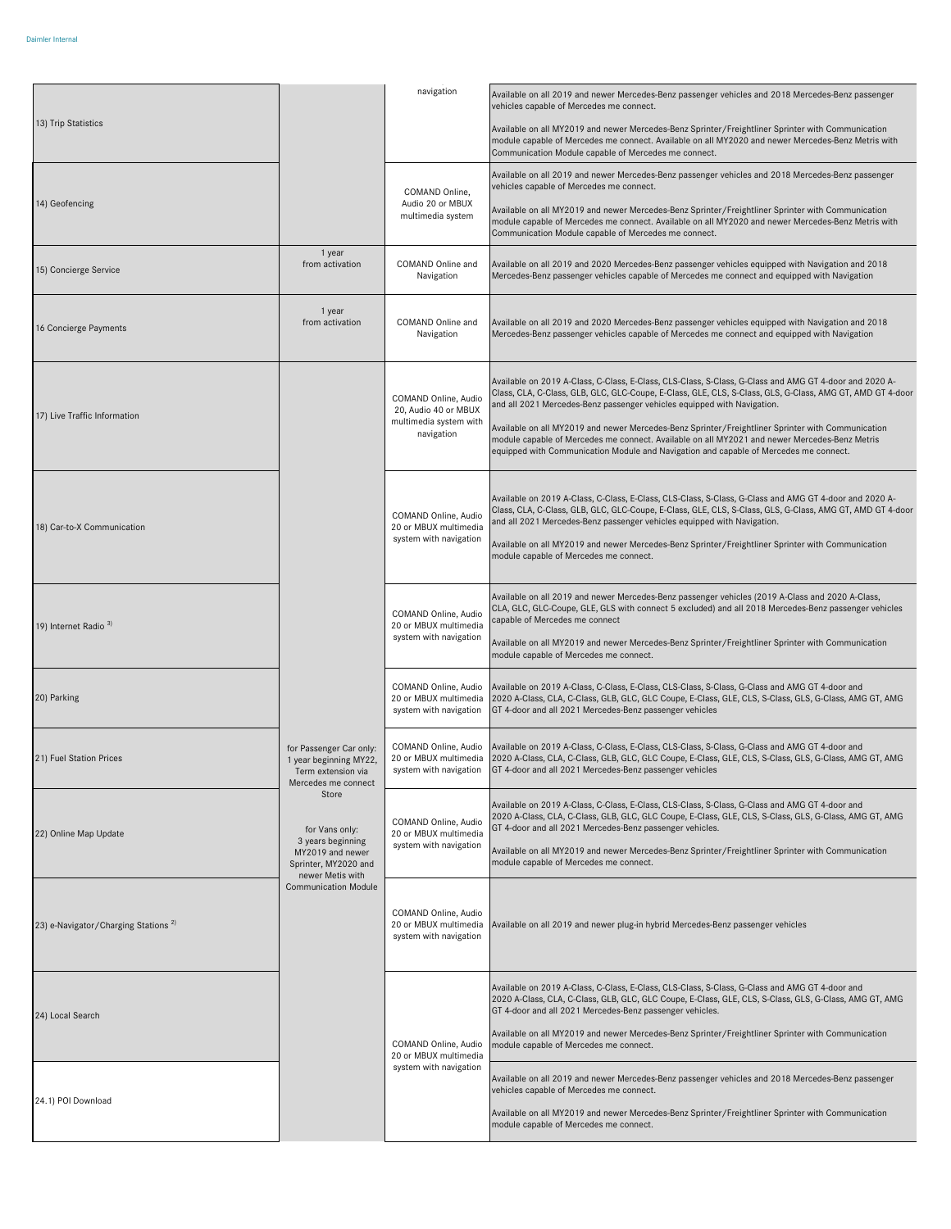|                                                 |                                                                                                                  | navigation                                                                                                                                    | Available on all 2019 and newer Mercedes-Benz passenger vehicles and 2018 Mercedes-Benz passenger<br>vehicles capable of Mercedes me connect.                                                                                                                                                  |
|-------------------------------------------------|------------------------------------------------------------------------------------------------------------------|-----------------------------------------------------------------------------------------------------------------------------------------------|------------------------------------------------------------------------------------------------------------------------------------------------------------------------------------------------------------------------------------------------------------------------------------------------|
| 13) Trip Statistics                             |                                                                                                                  |                                                                                                                                               | Available on all MY2019 and newer Mercedes-Benz Sprinter/Freightliner Sprinter with Communication<br>module capable of Mercedes me connect. Available on all MY2020 and newer Mercedes-Benz Metris with<br>Communication Module capable of Mercedes me connect.                                |
| 14) Geofencing                                  |                                                                                                                  | COMAND Online,<br>Audio 20 or MBUX<br>multimedia system                                                                                       | Available on all 2019 and newer Mercedes-Benz passenger vehicles and 2018 Mercedes-Benz passenger<br>vehicles capable of Mercedes me connect.                                                                                                                                                  |
|                                                 |                                                                                                                  |                                                                                                                                               | Available on all MY2019 and newer Mercedes-Benz Sprinter/Freightliner Sprinter with Communication<br>module capable of Mercedes me connect. Available on all MY2020 and newer Mercedes-Benz Metris with<br>Communication Module capable of Mercedes me connect.                                |
| 15) Concierge Service                           | 1 year<br>from activation                                                                                        | COMAND Online and<br>Navigation                                                                                                               | Available on all 2019 and 2020 Mercedes-Benz passenger vehicles equipped with Navigation and 2018<br>Mercedes-Benz passenger vehicles capable of Mercedes me connect and equipped with Navigation                                                                                              |
| 16 Concierge Payments                           | 1 year<br>from activation                                                                                        | COMAND Online and<br>Navigation                                                                                                               | Available on all 2019 and 2020 Mercedes-Benz passenger vehicles equipped with Navigation and 2018<br>Mercedes-Benz passenger vehicles capable of Mercedes me connect and equipped with Navigation                                                                                              |
|                                                 |                                                                                                                  | COMAND Online, Audio<br>20, Audio 40 or MBUX<br>multimedia system with<br>navigation                                                          | Available on 2019 A-Class, C-Class, E-Class, CLS-Class, S-Class, G-Class and AMG GT 4-door and 2020 A-<br>Class, CLA, C-Class, GLB, GLC, GLC-Coupe, E-Class, GLE, CLS, S-Class, GLS, G-Class, AMG GT, AMD GT 4-door<br>and all 2021 Mercedes-Benz passenger vehicles equipped with Navigation. |
| 17) Live Traffic Information                    |                                                                                                                  |                                                                                                                                               | Available on all MY2019 and newer Mercedes-Benz Sprinter/Freightliner Sprinter with Communication<br>module capable of Mercedes me connect. Available on all MY2021 and newer Mercedes-Benz Metris<br>equipped with Communication Module and Navigation and capable of Mercedes me connect.    |
|                                                 |                                                                                                                  | COMAND Online, Audio<br>20 or MBUX multimedia<br>system with navigation                                                                       | Available on 2019 A-Class, C-Class, E-Class, CLS-Class, S-Class, G-Class and AMG GT 4-door and 2020 A-<br>Class, CLA, C-Class, GLB, GLC, GLC-Coupe, E-Class, GLE, CLS, S-Class, GLS, G-Class, AMG GT, AMD GT 4-door<br>and all 2021 Mercedes-Benz passenger vehicles equipped with Navigation. |
| 18) Car-to-X Communication                      |                                                                                                                  |                                                                                                                                               | Available on all MY2019 and newer Mercedes-Benz Sprinter/Freightliner Sprinter with Communication<br>module capable of Mercedes me connect.                                                                                                                                                    |
| 19) Internet Radio <sup>3)</sup>                |                                                                                                                  | COMAND Online, Audio<br>20 or MBUX multimedia<br>system with navigation                                                                       | Available on all 2019 and newer Mercedes-Benz passenger vehicles (2019 A-Class and 2020 A-Class,<br>CLA, GLC, GLC-Coupe, GLE, GLS with connect 5 excluded) and all 2018 Mercedes-Benz passenger vehicles<br>capable of Mercedes me connect                                                     |
|                                                 |                                                                                                                  |                                                                                                                                               | Available on all MY2019 and newer Mercedes-Benz Sprinter/Freightliner Sprinter with Communication<br>module capable of Mercedes me connect.                                                                                                                                                    |
| 20) Parking                                     | for Passenger Car only:<br>1 year beginning MY22,<br>Term extension via<br>Mercedes me connect                   | COMAND Online, Audio<br>20 or MBUX multimedia<br>system with navigation                                                                       | Available on 2019 A-Class, C-Class, E-Class, CLS-Class, S-Class, G-Class and AMG GT 4-door and<br>2020 A-Class, CLA, C-Class, GLB, GLC, GLC Coupe, E-Class, GLE, CLS, S-Class, GLS, G-Class, AMG GT, AMG<br>GT 4-door and all 2021 Mercedes-Benz passenger vehicles                            |
| 21) Fuel Station Prices                         |                                                                                                                  | COMAND Online, Audio<br>20 or MBUX multimedia<br>system with navigation                                                                       | Available on 2019 A-Class, C-Class, E-Class, CLS-Class, S-Class, G-Class and AMG GT 4-door and<br>2020 A-Class, CLA, C-Class, GLB, GLC, GLC Coupe, E-Class, GLE, CLS, S-Class, GLS, G-Class, AMG GT, AMG<br>GT 4-door and all 2021 Mercedes-Benz passenger vehicles                            |
| 22) Online Map Update                           | Store<br>for Vans only:                                                                                          | COMAND Online, Audio<br>20 or MBUX multimedia<br>system with navigation                                                                       | Available on 2019 A-Class, C-Class, E-Class, CLS-Class, S-Class, G-Class and AMG GT 4-door and<br>2020 A-Class, CLA, C-Class, GLB, GLC, GLC Coupe, E-Class, GLE, CLS, S-Class, GLS, G-Class, AMG GT, AMG<br>GT 4-door and all 2021 Mercedes-Benz passenger vehicles.                           |
|                                                 | 3 years beginning<br>MY2019 and newer<br>Sprinter, MY2020 and<br>newer Metis with<br><b>Communication Module</b> |                                                                                                                                               | Available on all MY2019 and newer Mercedes-Benz Sprinter/Freightliner Sprinter with Communication<br>module capable of Mercedes me connect.                                                                                                                                                    |
| 23) e-Navigator/Charging Stations <sup>2)</sup> |                                                                                                                  | COMAND Online, Audio<br>20 or MBUX multimedia<br>system with navigation                                                                       | Available on all 2019 and newer plug-in hybrid Mercedes-Benz passenger vehicles                                                                                                                                                                                                                |
| 24) Local Search                                |                                                                                                                  | COMAND Online, Audio<br>20 or MBUX multimedia                                                                                                 | Available on 2019 A-Class, C-Class, E-Class, CLS-Class, S-Class, G-Class and AMG GT 4-door and<br>2020 A-Class, CLA, C-Class, GLB, GLC, GLC Coupe, E-Class, GLE, CLS, S-Class, GLS, G-Class, AMG GT, AMG<br>GT 4-door and all 2021 Mercedes-Benz passenger vehicles.                           |
|                                                 |                                                                                                                  |                                                                                                                                               | Available on all MY2019 and newer Mercedes-Benz Sprinter/Freightliner Sprinter with Communication<br>module capable of Mercedes me connect.                                                                                                                                                    |
| 24.1) POI Download                              | system with navigation                                                                                           | Available on all 2019 and newer Mercedes-Benz passenger vehicles and 2018 Mercedes-Benz passenger<br>vehicles capable of Mercedes me connect. |                                                                                                                                                                                                                                                                                                |
|                                                 |                                                                                                                  | Available on all MY2019 and newer Mercedes-Benz Sprinter/Freightliner Sprinter with Communication<br>module capable of Mercedes me connect.   |                                                                                                                                                                                                                                                                                                |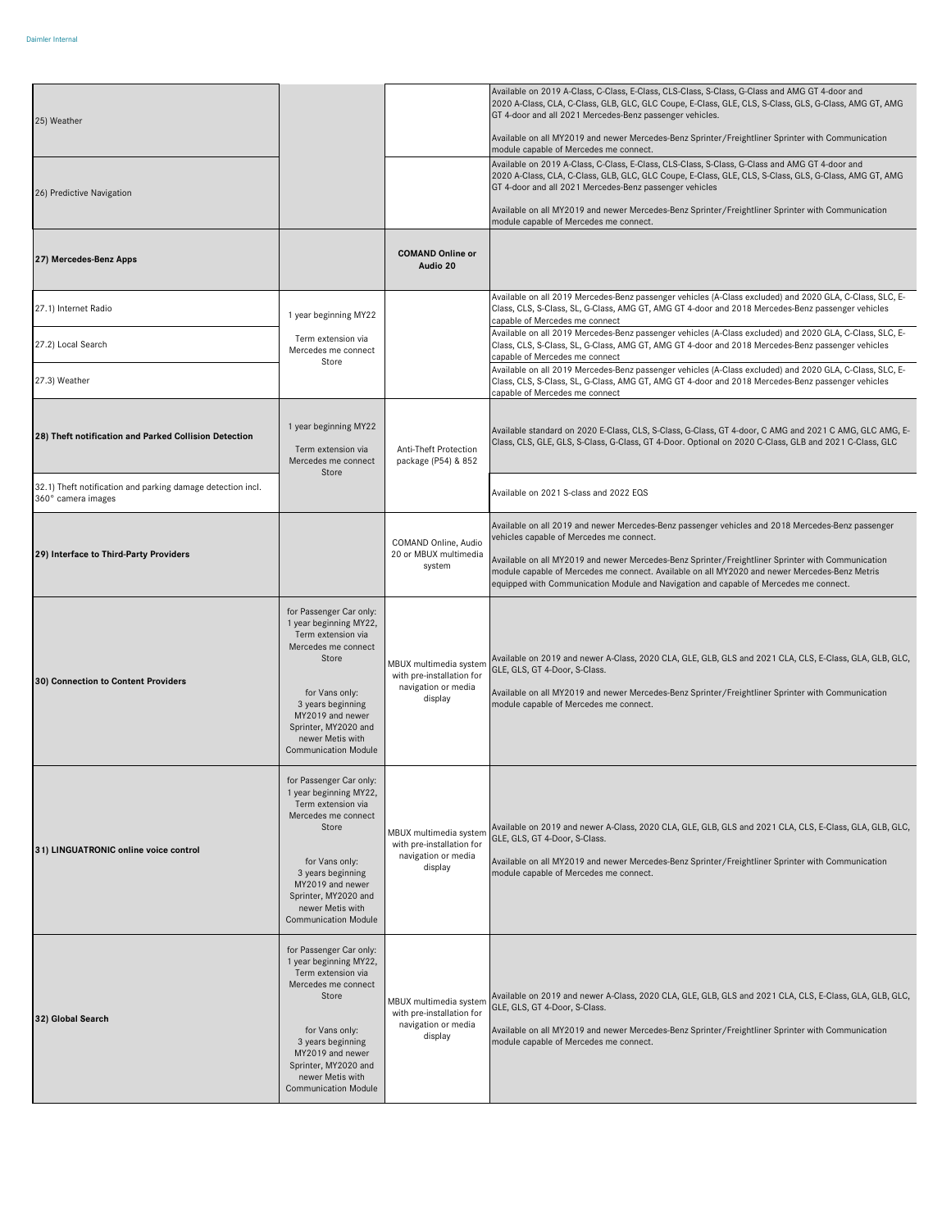| 25) Weather                                                                       |                                                                                                                                                                                                                                               |                                                                                       | Available on 2019 A-Class, C-Class, E-Class, CLS-Class, S-Class, G-Class and AMG GT 4-door and<br>2020 A-Class, CLA, C-Class, GLB, GLC, GLC Coupe, E-Class, GLE, CLS, S-Class, GLS, G-Class, AMG GT, AMG<br>GT 4-door and all 2021 Mercedes-Benz passenger vehicles.<br>Available on all MY2019 and newer Mercedes-Benz Sprinter/Freightliner Sprinter with Communication<br>module capable of Mercedes me connect.                          |
|-----------------------------------------------------------------------------------|-----------------------------------------------------------------------------------------------------------------------------------------------------------------------------------------------------------------------------------------------|---------------------------------------------------------------------------------------|----------------------------------------------------------------------------------------------------------------------------------------------------------------------------------------------------------------------------------------------------------------------------------------------------------------------------------------------------------------------------------------------------------------------------------------------|
| 26) Predictive Navigation                                                         |                                                                                                                                                                                                                                               |                                                                                       | Available on 2019 A-Class, C-Class, E-Class, CLS-Class, S-Class, G-Class and AMG GT 4-door and<br>2020 A-Class, CLA, C-Class, GLB, GLC, GLC Coupe, E-Class, GLE, CLS, S-Class, GLS, G-Class, AMG GT, AMG<br>GT 4-door and all 2021 Mercedes-Benz passenger vehicles<br>Available on all MY2019 and newer Mercedes-Benz Sprinter/Freightliner Sprinter with Communication<br>module capable of Mercedes me connect.                           |
| 27) Mercedes-Benz Apps                                                            |                                                                                                                                                                                                                                               | <b>COMAND Online or</b><br>Audio 20                                                   |                                                                                                                                                                                                                                                                                                                                                                                                                                              |
| 27.1) Internet Radio                                                              | 1 year beginning MY22                                                                                                                                                                                                                         |                                                                                       | Available on all 2019 Mercedes-Benz passenger vehicles (A-Class excluded) and 2020 GLA, C-Class, SLC, E-<br>Class, CLS, S-Class, SL, G-Class, AMG GT, AMG GT 4-door and 2018 Mercedes-Benz passenger vehicles<br>capable of Mercedes me connect                                                                                                                                                                                              |
| 27.2) Local Search                                                                | Term extension via<br>Mercedes me connect<br>Store                                                                                                                                                                                            |                                                                                       | Available on all 2019 Mercedes-Benz passenger vehicles (A-Class excluded) and 2020 GLA, C-Class, SLC, E-<br>Class, CLS, S-Class, SL, G-Class, AMG GT, AMG GT 4-door and 2018 Mercedes-Benz passenger vehicles<br>capable of Mercedes me connect                                                                                                                                                                                              |
| 27.3) Weather                                                                     |                                                                                                                                                                                                                                               |                                                                                       | Available on all 2019 Mercedes-Benz passenger vehicles (A-Class excluded) and 2020 GLA, C-Class, SLC, E-<br>Class, CLS, S-Class, SL, G-Class, AMG GT, AMG GT 4-door and 2018 Mercedes-Benz passenger vehicles<br>capable of Mercedes me connect                                                                                                                                                                                              |
| 28) Theft notification and Parked Collision Detection                             | 1 year beginning MY22<br>Term extension via<br>Mercedes me connect                                                                                                                                                                            | Anti-Theft Protection<br>package (P54) & 852                                          | Available standard on 2020 E-Class, CLS, S-Class, G-Class, GT 4-door, C AMG and 2021 C AMG, GLC AMG, E-<br>Class, CLS, GLE, GLS, S-Class, G-Class, GT 4-Door. Optional on 2020 C-Class, GLB and 2021 C-Class, GLC                                                                                                                                                                                                                            |
| 32.1) Theft notification and parking damage detection incl.<br>360° camera images | Store                                                                                                                                                                                                                                         |                                                                                       | Available on 2021 S-class and 2022 EQS                                                                                                                                                                                                                                                                                                                                                                                                       |
| 29) Interface to Third-Party Providers                                            |                                                                                                                                                                                                                                               | COMAND Online, Audio<br>20 or MBUX multimedia<br>system                               | Available on all 2019 and newer Mercedes-Benz passenger vehicles and 2018 Mercedes-Benz passenger<br>vehicles capable of Mercedes me connect.<br>Available on all MY2019 and newer Mercedes-Benz Sprinter/Freightliner Sprinter with Communication<br>module capable of Mercedes me connect. Available on all MY2020 and newer Mercedes-Benz Metris<br>equipped with Communication Module and Navigation and capable of Mercedes me connect. |
| 30) Connection to Content Providers                                               | for Passenger Car only:<br>1 year beginning MY22,<br>Term extension via<br>Mercedes me connect<br>Store<br>for Vans only:<br>3 years beginning<br>MY2019 and newer<br>Sprinter, MY2020 and<br>newer Metis with<br><b>Communication Module</b> | MBUX multimedia system<br>with pre-installation for<br>navigation or media<br>display | Available on 2019 and newer A-Class, 2020 CLA, GLE, GLB, GLS and 2021 CLA, CLS, E-Class, GLA, GLB, GLC,<br>GLE, GLS, GT 4-Door, S-Class.<br>Available on all MY2019 and newer Mercedes-Benz Sprinter/Freightliner Sprinter with Communication<br>module capable of Mercedes me connect.                                                                                                                                                      |
| 31) LINGUATRONIC online voice control                                             | for Passenger Car only:<br>1 year beginning MY22,<br>Term extension via<br>Mercedes me connect<br>Store<br>for Vans only:<br>3 years beginning<br>MY2019 and newer<br>Sprinter, MY2020 and<br>newer Metis with<br><b>Communication Module</b> | MBUX multimedia systen<br>with pre-installation for<br>navigation or media<br>display | Available on 2019 and newer A-Class, 2020 CLA, GLE, GLB, GLS and 2021 CLA, CLS, E-Class, GLA, GLB, GLC,<br>GLE, GLS, GT 4-Door, S-Class.<br>Available on all MY2019 and newer Mercedes-Benz Sprinter/Freightliner Sprinter with Communication<br>module capable of Mercedes me connect.                                                                                                                                                      |
| 32) Global Search                                                                 | for Passenger Car only:<br>1 year beginning MY22,<br>Term extension via<br>Mercedes me connect<br>Store<br>for Vans only:<br>3 years beginning<br>MY2019 and newer<br>Sprinter, MY2020 and<br>newer Metis with<br><b>Communication Module</b> | MBUX multimedia systen<br>with pre-installation for<br>navigation or media<br>display | Available on 2019 and newer A-Class, 2020 CLA, GLE, GLB, GLS and 2021 CLA, CLS, E-Class, GLA, GLB, GLC,<br>GLE, GLS, GT 4-Door, S-Class.<br>Available on all MY2019 and newer Mercedes-Benz Sprinter/Freightliner Sprinter with Communication<br>module capable of Mercedes me connect.                                                                                                                                                      |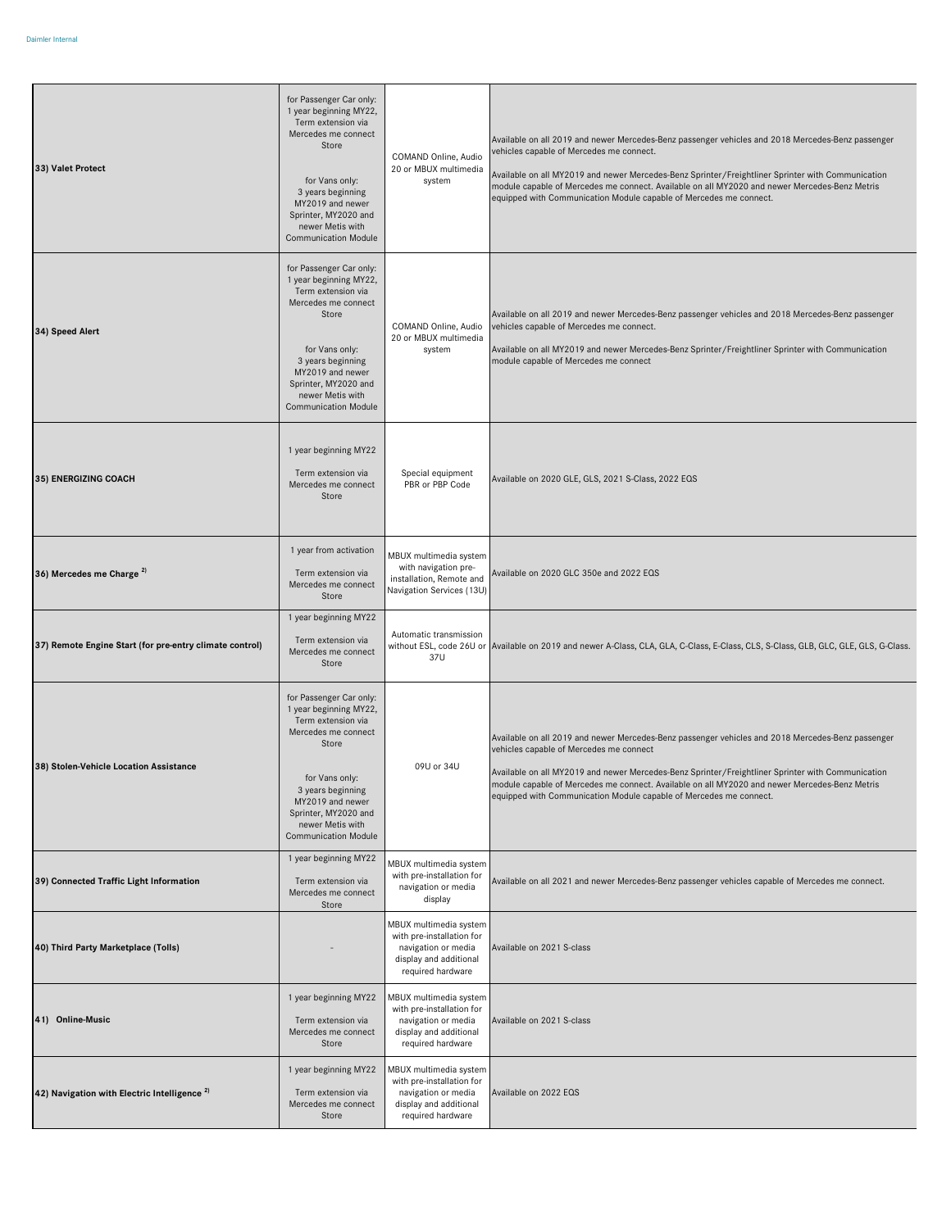| 33) Valet Protect                                       | for Passenger Car only:<br>1 year beginning MY22,<br>Term extension via<br>Mercedes me connect<br>Store<br>for Vans only:<br>3 years beginning<br>MY2019 and newer<br>Sprinter, MY2020 and<br>newer Metis with<br><b>Communication Module</b> | COMAND Online, Audio<br>20 or MBUX multimedia<br>system                                                                   | Available on all 2019 and newer Mercedes-Benz passenger vehicles and 2018 Mercedes-Benz passenger<br>vehicles capable of Mercedes me connect.<br>Available on all MY2019 and newer Mercedes-Benz Sprinter/Freightliner Sprinter with Communication<br>module capable of Mercedes me connect. Available on all MY2020 and newer Mercedes-Benz Metris<br>equipped with Communication Module capable of Mercedes me connect. |
|---------------------------------------------------------|-----------------------------------------------------------------------------------------------------------------------------------------------------------------------------------------------------------------------------------------------|---------------------------------------------------------------------------------------------------------------------------|---------------------------------------------------------------------------------------------------------------------------------------------------------------------------------------------------------------------------------------------------------------------------------------------------------------------------------------------------------------------------------------------------------------------------|
| 34) Speed Alert                                         | for Passenger Car only:<br>1 year beginning MY22,<br>Term extension via<br>Mercedes me connect<br>Store<br>for Vans only:<br>3 years beginning<br>MY2019 and newer<br>Sprinter, MY2020 and<br>newer Metis with<br><b>Communication Module</b> | COMAND Online, Audio<br>20 or MBUX multimedia<br>system                                                                   | Available on all 2019 and newer Mercedes-Benz passenger vehicles and 2018 Mercedes-Benz passenger<br>vehicles capable of Mercedes me connect.<br>Available on all MY2019 and newer Mercedes-Benz Sprinter/Freightliner Sprinter with Communication<br>module capable of Mercedes me connect                                                                                                                               |
| 35) ENERGIZING COACH                                    | 1 year beginning MY22<br>Term extension via<br>Mercedes me connect<br>Store                                                                                                                                                                   | Special equipment<br>PBR or PBP Code                                                                                      | Available on 2020 GLE, GLS, 2021 S-Class, 2022 EQS                                                                                                                                                                                                                                                                                                                                                                        |
| 36) Mercedes me Charge <sup>2)</sup>                    | 1 year from activation<br>Term extension via<br>Mercedes me connect<br>Store                                                                                                                                                                  | MBUX multimedia system<br>with navigation pre-<br>installation, Remote and<br>Navigation Services (13U)                   | Available on 2020 GLC 350e and 2022 EQS                                                                                                                                                                                                                                                                                                                                                                                   |
| 37) Remote Engine Start (for pre-entry climate control) | 1 year beginning MY22<br>Term extension via<br>Mercedes me connect<br>Store                                                                                                                                                                   | Automatic transmission<br>37U                                                                                             | without ESL, code 26U or Available on 2019 and newer A-Class, CLA, GLA, C-Class, E-Class, CLS, S-Class, GLB, GLC, GLE, GLS, G-Class.                                                                                                                                                                                                                                                                                      |
| 38) Stolen-Vehicle Location Assistance                  | for Passenger Car only:<br>1 year beginning MY22,<br>Term extension via<br>Mercedes me connect<br>Store<br>for Vans only:<br>3 years beginning<br>MY2019 and newer<br>Sprinter, MY2020 and<br>newer Metis with<br><b>Communication Module</b> | 09U or 34U                                                                                                                | Available on all 2019 and newer Mercedes-Benz passenger vehicles and 2018 Mercedes-Benz passenger<br>vehicles capable of Mercedes me connect<br>Available on all MY2019 and newer Mercedes-Benz Sprinter/Freightliner Sprinter with Communication<br>module capable of Mercedes me connect. Available on all MY2020 and newer Mercedes-Benz Metris<br>equipped with Communication Module capable of Mercedes me connect.  |
| 39) Connected Traffic Light Information                 | 1 year beginning MY22<br>Term extension via<br>Mercedes me connect<br>Store                                                                                                                                                                   | MBUX multimedia system<br>with pre-installation for<br>navigation or media<br>display                                     | Available on all 2021 and newer Mercedes-Benz passenger vehicles capable of Mercedes me connect.                                                                                                                                                                                                                                                                                                                          |
| 40) Third Party Marketplace (Tolls)                     |                                                                                                                                                                                                                                               | MBUX multimedia system<br>with pre-installation for<br>navigation or media<br>display and additional<br>required hardware | Available on 2021 S-class                                                                                                                                                                                                                                                                                                                                                                                                 |
| 41) Online-Music                                        | 1 year beginning MY22<br>Term extension via<br>Mercedes me connect<br>Store                                                                                                                                                                   | MBUX multimedia system<br>with pre-installation for<br>navigation or media<br>display and additional<br>required hardware | Available on 2021 S-class                                                                                                                                                                                                                                                                                                                                                                                                 |
| 42) Navigation with Electric Intelligence <sup>2)</sup> | 1 year beginning MY22<br>Term extension via<br>Mercedes me connect<br>Store                                                                                                                                                                   | MBUX multimedia system<br>with pre-installation for<br>navigation or media<br>display and additional<br>required hardware | Available on 2022 EQS                                                                                                                                                                                                                                                                                                                                                                                                     |